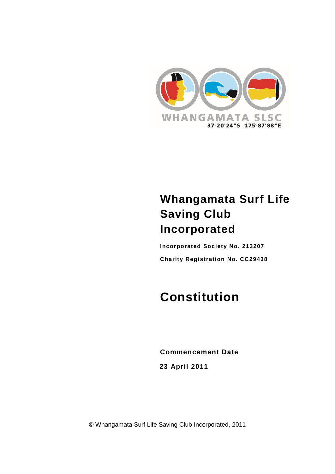

# **Whangamata Surf Life Saving Club Incorporated**

**Incorporated Society No. 213207 Charity Registration No. CC29438**

# **Constitution**

**Commencement Date 23 April 2011**

© Whangamata Surf Life Saving Club Incorporated, 2011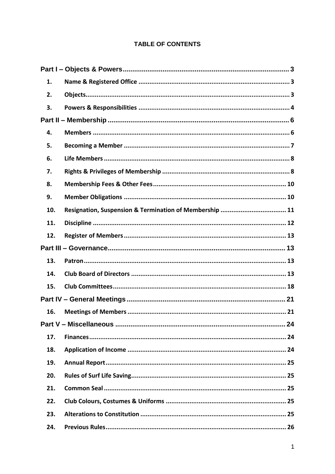# **TABLE OF CONTENTS**

| 1.  |                                                         |  |  |  |
|-----|---------------------------------------------------------|--|--|--|
| 2.  |                                                         |  |  |  |
| 3.  |                                                         |  |  |  |
|     |                                                         |  |  |  |
| 4.  |                                                         |  |  |  |
| 5.  |                                                         |  |  |  |
| 6.  |                                                         |  |  |  |
| 7.  |                                                         |  |  |  |
| 8.  |                                                         |  |  |  |
| 9.  |                                                         |  |  |  |
| 10. | Resignation, Suspension & Termination of Membership  11 |  |  |  |
| 11. |                                                         |  |  |  |
| 12. |                                                         |  |  |  |
|     |                                                         |  |  |  |
| 13. |                                                         |  |  |  |
| 14. |                                                         |  |  |  |
| 15. |                                                         |  |  |  |
|     |                                                         |  |  |  |
| 16. |                                                         |  |  |  |
|     |                                                         |  |  |  |
| 17. |                                                         |  |  |  |
| 18. |                                                         |  |  |  |
| 19. |                                                         |  |  |  |
| 20. |                                                         |  |  |  |
| 21. |                                                         |  |  |  |
| 22. |                                                         |  |  |  |
| 23. |                                                         |  |  |  |
| 24. |                                                         |  |  |  |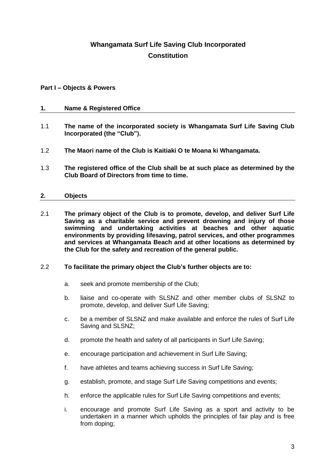# **Whangamata Surf Life Saving Club Incorporated Constitution**

# <span id="page-3-0"></span>**Part I – Objects & Powers**

# <span id="page-3-1"></span>**1. Name & Registered Office**

- 1.1 **The name of the incorporated society is Whangamata Surf Life Saving Club Incorporated (the "Club").**
- 1.2 **The Maori name of the Club is Kaitiaki O te Moana ki Whangamata.**
- 1.3 **The registered office of the Club shall be at such place as determined by the Club Board of Directors from time to time.**

# <span id="page-3-2"></span>**2. Objects**

2.1 **The primary object of the Club is to promote, develop, and deliver Surf Life Saving as a charitable service and prevent drowning and injury of those swimming and undertaking activities at beaches and other aquatic environments by providing lifesaving, patrol services, and other programmes and services at Whangamata Beach and at other locations as determined by the Club for the safety and recreation of the general public.**

#### 2.2 **To facilitate the primary object the Club's further objects are to:**

- a. seek and promote membership of the Club;
- b. liaise and co-operate with SLSNZ and other member clubs of SLSNZ to promote, develop, and deliver Surf Life Saving;
- c. be a member of SLSNZ and make available and enforce the rules of Surf Life Saving and SLSNZ;
- d. promote the health and safety of all participants in Surf Life Saving;
- e. encourage participation and achievement in Surf Life Saving;
- f. have athletes and teams achieving success in Surf Life Saving;
- g. establish, promote, and stage Surf Life Saving competitions and events;
- h. enforce the applicable rules for Surf Life Saving competitions and events;
- i. encourage and promote Surf Life Saving as a sport and activity to be undertaken in a manner which upholds the principles of fair play and is free from doping;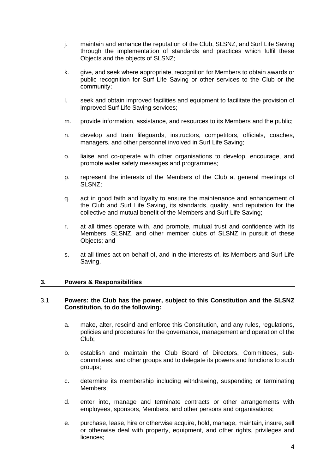- j. maintain and enhance the reputation of the Club, SLSNZ, and Surf Life Saving through the implementation of standards and practices which fulfil these Objects and the objects of SLSNZ;
- k. give, and seek where appropriate, recognition for Members to obtain awards or public recognition for Surf Life Saving or other services to the Club or the community;
- l. seek and obtain improved facilities and equipment to facilitate the provision of improved Surf Life Saving services;
- m. provide information, assistance, and resources to its Members and the public;
- n. develop and train lifeguards, instructors, competitors, officials, coaches, managers, and other personnel involved in Surf Life Saving;
- o. liaise and co-operate with other organisations to develop, encourage, and promote water safety messages and programmes;
- p. represent the interests of the Members of the Club at general meetings of SLSNZ;
- q. act in good faith and loyalty to ensure the maintenance and enhancement of the Club and Surf Life Saving, its standards, quality, and reputation for the collective and mutual benefit of the Members and Surf Life Saving;
- r. at all times operate with, and promote, mutual trust and confidence with its Members, SLSNZ, and other member clubs of SLSNZ in pursuit of these Objects; and
- s. at all times act on behalf of, and in the interests of, its Members and Surf Life Saving.

# <span id="page-4-0"></span>**3. Powers & Responsibilities**

# 3.1 **Powers: the Club has the power, subject to this Constitution and the SLSNZ Constitution, to do the following:**

- a. make, alter, rescind and enforce this Constitution, and any rules, regulations, policies and procedures for the governance, management and operation of the Club;
- b. establish and maintain the Club Board of Directors, Committees, subcommittees, and other groups and to delegate its powers and functions to such groups;
- c. determine its membership including withdrawing, suspending or terminating Members;
- d. enter into, manage and terminate contracts or other arrangements with employees, sponsors, Members, and other persons and organisations;
- e. purchase, lease, hire or otherwise acquire, hold, manage, maintain, insure, sell or otherwise deal with property, equipment, and other rights, privileges and licences;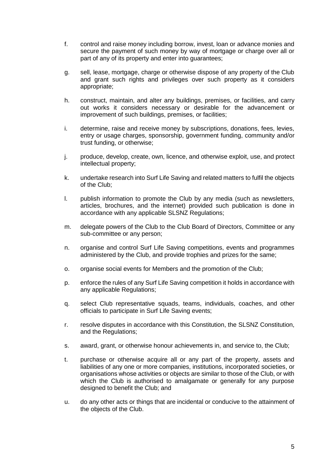- f. control and raise money including borrow, invest, loan or advance monies and secure the payment of such money by way of mortgage or charge over all or part of any of its property and enter into guarantees;
- g. sell, lease, mortgage, charge or otherwise dispose of any property of the Club and grant such rights and privileges over such property as it considers appropriate;
- h. construct, maintain, and alter any buildings, premises, or facilities, and carry out works it considers necessary or desirable for the advancement or improvement of such buildings, premises, or facilities;
- i. determine, raise and receive money by subscriptions, donations, fees, levies, entry or usage charges, sponsorship, government funding, community and/or trust funding, or otherwise;
- j. produce, develop, create, own, licence, and otherwise exploit, use, and protect intellectual property;
- k. undertake research into Surf Life Saving and related matters to fulfil the objects of the Club;
- l. publish information to promote the Club by any media (such as newsletters, articles, brochures, and the internet) provided such publication is done in accordance with any applicable SLSNZ Regulations;
- m. delegate powers of the Club to the Club Board of Directors, Committee or any sub-committee or any person;
- n. organise and control Surf Life Saving competitions, events and programmes administered by the Club, and provide trophies and prizes for the same;
- o. organise social events for Members and the promotion of the Club;
- p. enforce the rules of any Surf Life Saving competition it holds in accordance with any applicable Regulations;
- q. select Club representative squads, teams, individuals, coaches, and other officials to participate in Surf Life Saving events;
- r. resolve disputes in accordance with this Constitution, the SLSNZ Constitution, and the Regulations;
- s. award, grant, or otherwise honour achievements in, and service to, the Club;
- t. purchase or otherwise acquire all or any part of the property, assets and liabilities of any one or more companies, institutions, incorporated societies, or organisations whose activities or objects are similar to those of the Club, or with which the Club is authorised to amalgamate or generally for any purpose designed to benefit the Club; and
- u. do any other acts or things that are incidental or conducive to the attainment of the objects of the Club.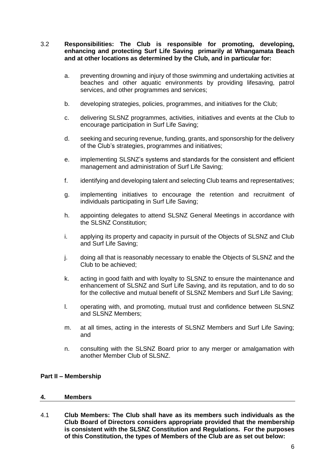# 3.2 **Responsibilities: The Club is responsible for promoting, developing, enhancing and protecting Surf Life Saving primarily at Whangamata Beach and at other locations as determined by the Club, and in particular for:**

- a. preventing drowning and injury of those swimming and undertaking activities at beaches and other aquatic environments by providing lifesaving, patrol services, and other programmes and services;
- b. developing strategies, policies, programmes, and initiatives for the Club;
- c. delivering SLSNZ programmes, activities, initiatives and events at the Club to encourage participation in Surf Life Saving;
- d. seeking and securing revenue, funding, grants, and sponsorship for the delivery of the Club's strategies, programmes and initiatives;
- e. implementing SLSNZ's systems and standards for the consistent and efficient management and administration of Surf Life Saving;
- f. identifying and developing talent and selecting Club teams and representatives;
- g. implementing initiatives to encourage the retention and recruitment of individuals participating in Surf Life Saving;
- h. appointing delegates to attend SLSNZ General Meetings in accordance with the SLSNZ Constitution;
- i. applying its property and capacity in pursuit of the Objects of SLSNZ and Club and Surf Life Saving;
- j. doing all that is reasonably necessary to enable the Objects of SLSNZ and the Club to be achieved;
- k. acting in good faith and with loyalty to SLSNZ to ensure the maintenance and enhancement of SLSNZ and Surf Life Saving, and its reputation, and to do so for the collective and mutual benefit of SLSNZ Members and Surf Life Saving;
- l. operating with, and promoting, mutual trust and confidence between SLSNZ and SLSNZ Members;
- m. at all times, acting in the interests of SLSNZ Members and Surf Life Saving; and
- n. consulting with the SLSNZ Board prior to any merger or amalgamation with another Member Club of SLSNZ.

# <span id="page-6-0"></span>**Part II – Membership**

#### <span id="page-6-1"></span>**4. Members**

<span id="page-6-2"></span>4.1 **Club Members: The Club shall have as its members such individuals as the Club Board of Directors considers appropriate provided that the membership is consistent with the SLSNZ Constitution and Regulations. For the purposes of this Constitution, the types of Members of the Club are as set out below:**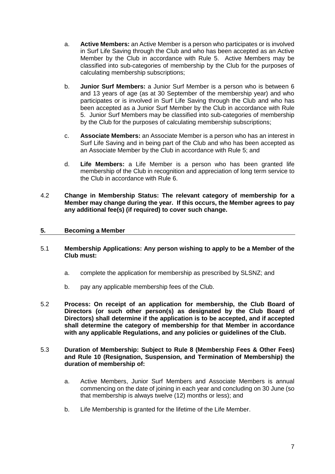- <span id="page-7-2"></span>a. **Active Members:** an Active Member is a person who participates or is involved in Surf Life Saving through the Club and who has been accepted as an Active Member by the Club in accordance with Rule [5.](#page-7-0) Active Members may be classified into sub-categories of membership by the Club for the purposes of calculating membership subscriptions;
- b. **Junior Surf Members:** a Junior Surf Member is a person who is between 6 and 13 years of age (as at 30 September of the membership year) and who participates or is involved in Surf Life Saving through the Club and who has been accepted as a Junior Surf Member by the Club in accordance with Rule [5.](#page-7-0) Junior Surf Members may be classified into sub-categories of membership by the Club for the purposes of calculating membership subscriptions;
- <span id="page-7-3"></span>c. **Associate Members:** an Associate Member is a person who has an interest in Surf Life Saving and in being part of the Club and who has been accepted as an Associate Member by the Club in accordance with Rule [5;](#page-7-0) and
- d. **Life Members:** a Life Member is a person who has been granted life membership of the Club in recognition and appreciation of long term service to the Club in accordance with Rule [6.](#page-8-0)
- 4.2 **Change in Membership Status: The relevant category of membership for a Member may change during the year. If this occurs, the Member agrees to pay any additional fee(s) (if required) to cover such change.**

# <span id="page-7-0"></span>**5. Becoming a Member**

- <span id="page-7-1"></span>5.1 **Membership Applications: Any person wishing to apply to be a Member of the Club must:**
	- a. complete the application for membership as prescribed by SLSNZ; and
	- b. pay any applicable membership fees of the Club.
- 5.2 **Process: On receipt of an application for membership, the Club Board of Directors (or such other person(s) as designated by the Club Board of Directors) shall determine if the application is to be accepted, and if accepted shall determine the category of membership for that Member in accordance with any applicable Regulations, and any policies or guidelines of the Club.**
- 5.3 **Duration of Membership: Subject to Rule [8](#page-10-0) (Membership Fees & Other Fees) and Rule [10](#page-11-0) (Resignation, Suspension, and Termination of Membership) the duration of membership of:**
	- a. Active Members, Junior Surf Members and Associate Members is annual commencing on the date of joining in each year and concluding on 30 June (so that membership is always twelve (12) months or less); and
	- b. Life Membership is granted for the lifetime of the Life Member.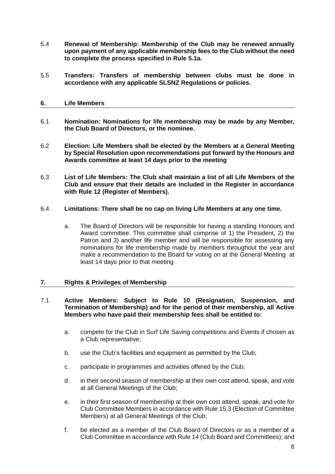- 5.4 **Renewal of Membership: Membership of the Club may be renewed annually upon payment of any applicable membership fees to the Club without the need to complete the process specified in Rule [5.1a.](#page-7-1)**
- 5.5 **Transfers: Transfers of membership between clubs must be done in accordance with any applicable SLSNZ Regulations or policies.**
- <span id="page-8-0"></span>**6. Life Members**
- 6.1 **Nomination: Nominations for life membership may be made by any Member, the Club Board of Directors, or the nominee.**
- 6.2 **Election: Life Members shall be elected by the Members at a General Meeting by Special Resolution upon recommendations put forward by the Honours and Awards committee at least 14 days prior to the meeting**
- 6.3 **List of Life Members: The Club shall maintain a list of all Life Members of the Club and ensure that their details are included in the Register in accordance with Rule [12](#page-13-0) (Register of Members).**
- 6.4 **Limitations: There shall be no cap on living Life Members at any one time.**
	- a. The Board of Directors will be responsible for having a standing Honours and Award committee. This committee shall comprise of 1) the President, 2) the Patron and 3) another life member and will be responsible for assessing any nominations for life membership made by members throughout the year and make a recommendation to the Board for voting on at the General Meeting at least 14 days prior to that meeting

# <span id="page-8-1"></span>**7. Rights & Privileges of Membership**

# 7.1 **Active Members: Subject to Rule [10](#page-11-0) (Resignation, Suspension, and Termination of Membership) and for the period of their membership, all Active Members who have paid their membership fees shall be entitled to:**

- a. compete for the Club in Surf Life Saving competitions and Events if chosen as a Club representative;
- b. use the Club's facilities and equipment as permitted by the Club;
- c. participate in programmes and activities offered by the Club;
- d. in their second season of membership at their own cost attend, speak, and vote at all General Meetings of the Club;
- e. in their first season of membership at their own cost attend, speak, and vote for Club Committee Members in accordance with Rule [15.3](#page-19-0) (Election of Committee Members) at all General Meetings of the Club;
- f. be elected as a member of the Club Board of Directors or as a member of a Club Committee in accordance with Rule [14](#page-13-3) (Club Board and Committees); and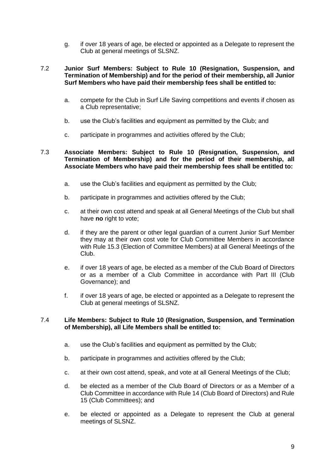g. if over 18 years of age, be elected or appointed as a Delegate to represent the Club at general meetings of SLSNZ.

# 7.2 **Junior Surf Members: Subject to Rule [10](#page-11-0) (Resignation, Suspension, and Termination of Membership) and for the period of their membership, all Junior Surf Members who have paid their membership fees shall be entitled to:**

- a. compete for the Club in Surf Life Saving competitions and events if chosen as a Club representative;
- b. use the Club's facilities and equipment as permitted by the Club; and
- c. participate in programmes and activities offered by the Club;

# 7.3 **Associate Members: Subject to Rule [10](#page-11-0) (Resignation, Suspension, and Termination of Membership) and for the period of their membership, all Associate Members who have paid their membership fees shall be entitled to:**

- a. use the Club's facilities and equipment as permitted by the Club;
- b. participate in programmes and activities offered by the Club;
- c. at their own cost attend and speak at all General Meetings of the Club but shall have **no** right to vote;
- <span id="page-9-0"></span>d. if they are the parent or other legal guardian of a current Junior Surf Member they may at their own cost vote for Club Committee Members in accordance with Rule [15.3](#page-19-0) (Election of Committee Members) at all General Meetings of the Club.
- e. if over 18 years of age, be elected as a member of the Club Board of Directors or as a member of a Club Committee in accordance with Part III (Club Governance); and
- f. if over 18 years of age, be elected or appointed as a Delegate to represent the Club at general meetings of SLSNZ.

# 7.4 **Life Members: Subject to Rule [10](#page-11-0) (Resignation, Suspension, and Termination of Membership), all Life Members shall be entitled to:**

- a. use the Club's facilities and equipment as permitted by the Club;
- b. participate in programmes and activities offered by the Club;
- c. at their own cost attend, speak, and vote at all General Meetings of the Club;
- d. be elected as a member of the Club Board of Directors or as a Member of a Club Committee in accordance with Rule [14](#page-13-3) (Club Board of Directors) and Rule 15 (Club Committees); and
- e. be elected or appointed as a Delegate to represent the Club at general meetings of SLSNZ.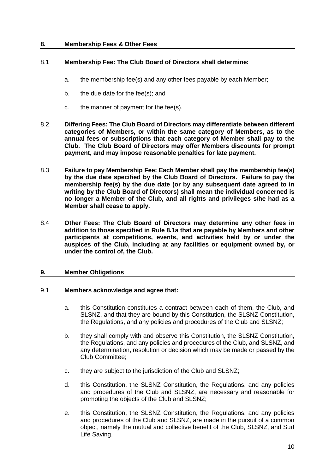# <span id="page-10-0"></span>**8. Membership Fees & Other Fees**

# <span id="page-10-2"></span>8.1 **Membership Fee: The Club Board of Directors shall determine:**

- a. the membership fee(s) and any other fees payable by each Member;
- b. the due date for the fee(s); and
- c. the manner of payment for the fee(s).
- 8.2 **Differing Fees: The Club Board of Directors may differentiate between different categories of Members, or within the same category of Members, as to the annual fees or subscriptions that each category of Member shall pay to the Club. The Club Board of Directors may offer Members discounts for prompt payment, and may impose reasonable penalties for late payment.**
- 8.3 **Failure to pay Membership Fee: Each Member shall pay the membership fee(s) by the due date specified by the Club Board of Directors. Failure to pay the membership fee(s) by the due date (or by any subsequent date agreed to in writing by the Club Board of Directors) shall mean the individual concerned is no longer a Member of the Club, and all rights and privileges s/he had as a Member shall cease to apply.**
- 8.4 **Other Fees: The Club Board of Directors may determine any other fees in addition to those specified in Rule [8.1a](#page-10-2) that are payable by Members and other participants at competitions, events, and activities held by or under the auspices of the Club, including at any facilities or equipment owned by, or under the control of, the Club.**

#### <span id="page-10-1"></span>**9. Member Obligations**

#### 9.1 **Members acknowledge and agree that:**

- a. this Constitution constitutes a contract between each of them, the Club, and SLSNZ, and that they are bound by this Constitution, the SLSNZ Constitution, the Regulations, and any policies and procedures of the Club and SLSNZ;
- b. they shall comply with and observe this Constitution, the SLSNZ Constitution, the Regulations, and any policies and procedures of the Club, and SLSNZ, and any determination, resolution or decision which may be made or passed by the Club Committee;
- c. they are subject to the jurisdiction of the Club and SLSNZ;
- d. this Constitution, the SLSNZ Constitution, the Regulations, and any policies and procedures of the Club and SLSNZ, are necessary and reasonable for promoting the objects of the Club and SLSNZ;
- e. this Constitution, the SLSNZ Constitution, the Regulations, and any policies and procedures of the Club and SLSNZ, are made in the pursuit of a common object, namely the mutual and collective benefit of the Club, SLSNZ, and Surf Life Saving.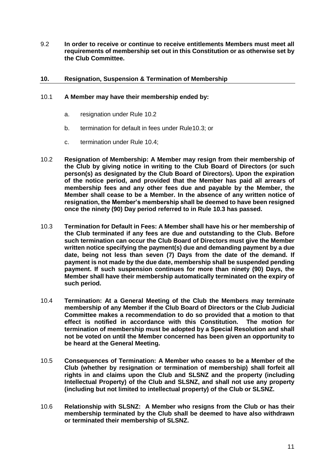9.2 **In order to receive or continue to receive entitlements Members must meet all requirements of membership set out in this Constitution or as otherwise set by the Club Committee.**

# <span id="page-11-0"></span>**10. Resignation, Suspension & Termination of Membership**

# 10.1 **A Member may have their membership ended by:**

- a. resignation under Rule [10.2](#page-11-1)
- b. termination for default in fees under Rul[e10.3;](#page-11-2) or
- c. termination under Rule [10.4;](#page-11-3)
- <span id="page-11-1"></span>10.2 **Resignation of Membership: A Member may resign from their membership of the Club by giving notice in writing to the Club Board of Directors (or such person(s) as designated by the Club Board of Directors). Upon the expiration of the notice period, and provided that the Member has paid all arrears of membership fees and any other fees due and payable by the Member, the Member shall cease to be a Member. In the absence of any written notice of resignation, the Member's membership shall be deemed to have been resigned once the ninety (90) Day period referred to in Rule [10.3](#page-11-2) has passed.**
- <span id="page-11-2"></span>10.3 **Termination for Default in Fees: A Member shall have his or her membership of the Club terminated if any fees are due and outstanding to the Club. Before such termination can occur the Club Board of Directors must give the Member written notice specifying the payment(s) due and demanding payment by a due date, being not less than seven (7) Days from the date of the demand. If payment is not made by the due date, membership shall be suspended pending payment. If such suspension continues for more than ninety (90) Days, the Member shall have their membership automatically terminated on the expiry of such period.**
- <span id="page-11-3"></span>10.4 **Termination: At a General Meeting of the Club the Members may terminate membership of any Member if the Club Board of Directors or the Club Judicial Committee makes a recommendation to do so provided that a motion to that effect is notified in accordance with this Constitution. The motion for termination of membership must be adopted by a Special Resolution and shall not be voted on until the Member concerned has been given an opportunity to be heard at the General Meeting.**
- 10.5 **Consequences of Termination: A Member who ceases to be a Member of the Club (whether by resignation or termination of membership) shall forfeit all rights in and claims upon the Club and SLSNZ and the property (including Intellectual Property) of the Club and SLSNZ, and shall not use any property (including but not limited to intellectual property) of the Club or SLSNZ.**
- 10.6 **Relationship with SLSNZ: A Member who resigns from the Club or has their membership terminated by the Club shall be deemed to have also withdrawn or terminated their membership of SLSNZ.**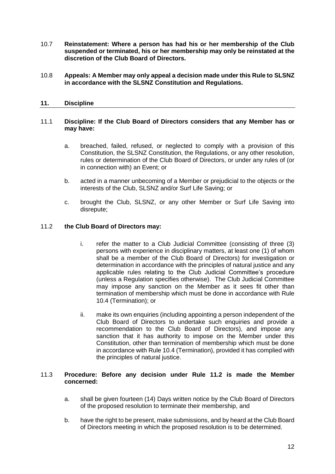- 10.7 **Reinstatement: Where a person has had his or her membership of the Club suspended or terminated, his or her membership may only be reinstated at the discretion of the Club Board of Directors.**
- 10.8 **Appeals: A Member may only appeal a decision made under this Rule to SLSNZ in accordance with the SLSNZ Constitution and Regulations.**

# <span id="page-12-0"></span>**11. Discipline**

#### <span id="page-12-4"></span><span id="page-12-2"></span>11.1 **Discipline: If the Club Board of Directors considers that any Member has or may have:**

- a. breached, failed, refused, or neglected to comply with a provision of this Constitution, the SLSNZ Constitution, the Regulations, or any other resolution, rules or determination of the Club Board of Directors, or under any rules of (or in connection with) an Event; or
- b. acted in a manner unbecoming of a Member or prejudicial to the objects or the interests of the Club, SLSNZ and/or Surf Life Saving; or
- c. brought the Club, SLSNZ, or any other Member or Surf Life Saving into disrepute;

# <span id="page-12-3"></span><span id="page-12-1"></span>11.2 **the Club Board of Directors may:**

- i. refer the matter to a Club Judicial Committee (consisting of three (3) persons with experience in disciplinary matters, at least one (1) of whom shall be a member of the Club Board of Directors) for investigation or determination in accordance with the principles of natural justice and any applicable rules relating to the Club Judicial Committee's procedure (unless a Regulation specifies otherwise). The Club Judicial Committee may impose any sanction on the Member as it sees fit other than termination of membership which must be done in accordance with Rule [10.4](#page-11-3) (Termination); or
- ii. make its own enquiries (including appointing a person independent of the Club Board of Directors to undertake such enquiries and provide a recommendation to the Club Board of Directors), and impose any sanction that it has authority to impose on the Member under this Constitution, other than termination of membership which must be done in accordance with Rule [10.4](#page-11-3) (Termination), provided it has complied with the principles of natural justice.

# 11.3 **Procedure: Before any decision under Rule [11.2](#page-12-1) is made the Member concerned:**

- a. shall be given fourteen (14) Days written notice by the Club Board of Directors of the proposed resolution to terminate their membership, and
- b. have the right to be present, make submissions, and by heard at the Club Board of Directors meeting in which the proposed resolution is to be determined.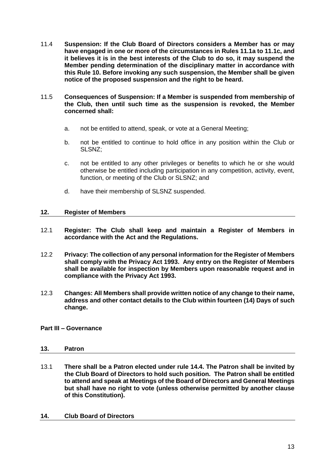- 11.4 **Suspension: If the Club Board of Directors considers a Member has or may have engaged in one or more of the circumstances in Rules [11.1a](#page-12-2) to [11.1c,](#page-12-3) and it believes it is in the best interests of the Club to do so, it may suspend the Member pending determination of the disciplinary matter in accordance with this Rule [10.](#page-11-0) Before invoking any such suspension, the Member shall be given notice of the proposed suspension and the right to be heard.**
- 11.5 **Consequences of Suspension: If a Member is suspended from membership of the Club, then until such time as the suspension is revoked, the Member concerned shall:**
	- a. not be entitled to attend, speak, or vote at a General Meeting;
	- b. not be entitled to continue to hold office in any position within the Club or SLSNZ;
	- c. not be entitled to any other privileges or benefits to which he or she would otherwise be entitled including participation in any competition, activity, event, function, or meeting of the Club or SLSNZ; and
	- d. have their membership of SLSNZ suspended.

# <span id="page-13-0"></span>**12. Register of Members**

- 12.1 **Register: The Club shall keep and maintain a Register of Members in accordance with the Act and the Regulations.**
- 12.2 **Privacy: The collection of any personal information for the Register of Members shall comply with the Privacy Act 1993. Any entry on the Register of Members shall be available for inspection by Members upon reasonable request and in compliance with the Privacy Act 1993.**
- 12.3 **Changes: All Members shall provide written notice of any change to their name, address and other contact details to the Club within fourteen (14) Days of such change.**

# <span id="page-13-2"></span><span id="page-13-1"></span>**Part III – Governance**

# **13. Patron**

13.1 **There shall be a Patron elected under rule [14.4.](#page-14-0) The Patron shall be invited by the Club Board of Directors to hold such position. The Patron shall be entitled to attend and speak at Meetings of the Board of Directors and General Meetings but shall have no right to vote (unless otherwise permitted by another clause of this Constitution).**

# <span id="page-13-3"></span>**14. Club Board of Directors**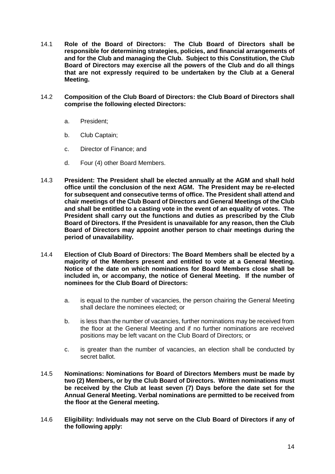- 14.1 **Role of the Board of Directors: The Club Board of Directors shall be responsible for determining strategies, policies, and financial arrangements of and for the Club and managing the Club. Subject to this Constitution, the Club Board of Directors may exercise all the powers of the Club and do all things that are not expressly required to be undertaken by the Club at a General Meeting.**
- 14.2 **Composition of the Club Board of Directors: the Club Board of Directors shall comprise the following elected Directors:**
	- a. President;
	- b. Club Captain;
	- c. Director of Finance; and
	- d. Four (4) other Board Members.
- 14.3 **President: The President shall be elected annually at the AGM and shall hold office until the conclusion of the next AGM. The President may be re-elected for subsequent and consecutive terms of office. The President shall attend and chair meetings of the Club Board of Directors and General Meetings of the Club and shall be entitled to a casting vote in the event of an equality of votes. The President shall carry out the functions and duties as prescribed by the Club Board of Directors. If the President is unavailable for any reason, then the Club Board of Directors may appoint another person to chair meetings during the period of unavailability.**
- <span id="page-14-0"></span>14.4 **Election of Club Board of Directors: The Board Members shall be elected by a majority of the Members present and entitled to vote at a General Meeting. Notice of the date on which nominations for Board Members close shall be included in, or accompany, the notice of General Meeting. If the number of nominees for the Club Board of Directors:**
	- a. is equal to the number of vacancies, the person chairing the General Meeting shall declare the nominees elected; or
	- b. is less than the number of vacancies, further nominations may be received from the floor at the General Meeting and if no further nominations are received positions may be left vacant on the Club Board of Directors; or
	- c. is greater than the number of vacancies, an election shall be conducted by secret ballot.
- 14.5 **Nominations: Nominations for Board of Directors Members must be made by two (2) Members, or by the Club Board of Directors. Written nominations must be received by the Club at least seven (7) Days before the date set for the Annual General Meeting. Verbal nominations are permitted to be received from the floor at the General meeting.**
- 14.6 **Eligibility: Individuals may not serve on the Club Board of Directors if any of the following apply:**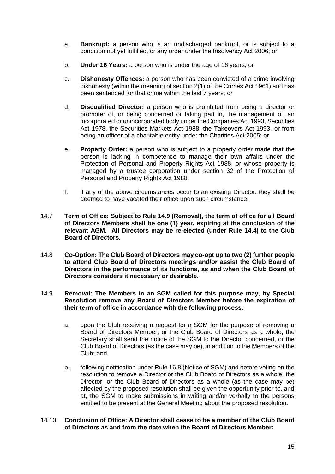- a. **Bankrupt:** a person who is an undischarged bankrupt, or is subject to a condition not yet fulfilled, or any order under the Insolvency Act 2006; or
- b. **Under 16 Years:** a person who is under the age of 16 years; or
- c. **Dishonesty Offences:** a person who has been convicted of a crime involving dishonesty (within the meaning of section 2(1) of the Crimes Act 1961) and has been sentenced for that crime within the last 7 years; or
- d. **Disqualified Director:** a person who is prohibited from being a director or promoter of, or being concerned or taking part in, the management of, an incorporated or unincorporated body under the Companies Act 1993, Securities Act 1978, the Securities Markets Act 1988, the Takeovers Act 1993, or from being an officer of a charitable entity under the Charities Act 2005; or
- e. **Property Order:** a person who is subject to a property order made that the person is lacking in competence to manage their own affairs under the Protection of Personal and Property Rights Act 1988, or whose property is managed by a trustee corporation under section 32 of the Protection of Personal and Property Rights Act 1988;
- f. if any of the above circumstances occur to an existing Director, they shall be deemed to have vacated their office upon such circumstance.
- 14.7 **Term of Office: Subject to Rule [14.9](#page-15-0) (Removal), the term of office for all Board of Directors Members shall be one (1) year, expiring at the conclusion of the relevant AGM. All Directors may be re-elected (under Rule [14.4\)](#page-14-0) to the Club Board of Directors.**
- 14.8 **Co-Option: The Club Board of Directors may co-opt up to two (2) further people to attend Club Board of Directors meetings and/or assist the Club Board of Directors in the performance of its functions, as and when the Club Board of Directors considers it necessary or desirable.**
- <span id="page-15-0"></span>14.9 **Removal: The Members in an SGM called for this purpose may, by Special Resolution remove any Board of Directors Member before the expiration of their term of office in accordance with the following process:**
	- a. upon the Club receiving a request for a SGM for the purpose of removing a Board of Directors Member, or the Club Board of Directors as a whole, the Secretary shall send the notice of the SGM to the Director concerned, or the Club Board of Directors (as the case may be), in addition to the Members of the Club; and
	- b. following notification under Rule [16.8](#page-22-0) (Notice of SGM) and before voting on the resolution to remove a Director or the Club Board of Directors as a whole, the Director, or the Club Board of Directors as a whole (as the case may be) affected by the proposed resolution shall be given the opportunity prior to, and at, the SGM to make submissions in writing and/or verbally to the persons entitled to be present at the General Meeting about the proposed resolution.
- 14.10 **Conclusion of Office: A Director shall cease to be a member of the Club Board of Directors as and from the date when the Board of Directors Member:**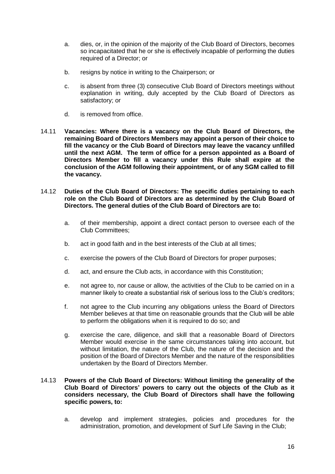- a. dies, or, in the opinion of the majority of the Club Board of Directors, becomes so incapacitated that he or she is effectively incapable of performing the duties required of a Director; or
- b. resigns by notice in writing to the Chairperson: or
- c. is absent from three (3) consecutive Club Board of Directors meetings without explanation in writing, duly accepted by the Club Board of Directors as satisfactory; or
- d. is removed from office.
- 14.11 **Vacancies: Where there is a vacancy on the Club Board of Directors, the remaining Board of Directors Members may appoint a person of their choice to fill the vacancy or the Club Board of Directors may leave the vacancy unfilled until the next AGM. The term of office for a person appointed as a Board of Directors Member to fill a vacancy under this Rule shall expire at the conclusion of the AGM following their appointment, or of any SGM called to fill the vacancy.**
- 14.12 **Duties of the Club Board of Directors: The specific duties pertaining to each role on the Club Board of Directors are as determined by the Club Board of Directors. The general duties of the Club Board of Directors are to:** 
	- a. of their membership, appoint a direct contact person to oversee each of the Club Committees;
	- b. act in good faith and in the best interests of the Club at all times;
	- c. exercise the powers of the Club Board of Directors for proper purposes;
	- d. act, and ensure the Club acts, in accordance with this Constitution;
	- e. not agree to, nor cause or allow, the activities of the Club to be carried on in a manner likely to create a substantial risk of serious loss to the Club's creditors;
	- f. not agree to the Club incurring any obligations unless the Board of Directors Member believes at that time on reasonable grounds that the Club will be able to perform the obligations when it is required to do so; and
	- g. exercise the care, diligence, and skill that a reasonable Board of Directors Member would exercise in the same circumstances taking into account, but without limitation, the nature of the Club, the nature of the decision and the position of the Board of Directors Member and the nature of the responsibilities undertaken by the Board of Directors Member.

# 14.13 **Powers of the Club Board of Directors: Without limiting the generality of the Club Board of Directors' powers to carry out the objects of the Club as it considers necessary, the Club Board of Directors shall have the following specific powers, to:**

a. develop and implement strategies, policies and procedures for the administration, promotion, and development of Surf Life Saving in the Club;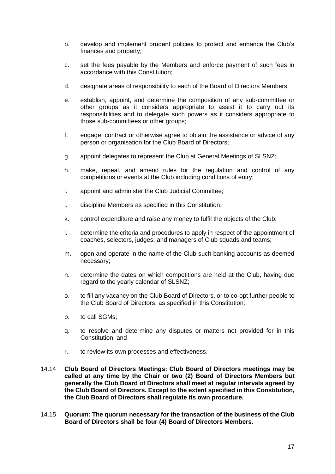- b. develop and implement prudent policies to protect and enhance the Club's finances and property;
- c. set the fees payable by the Members and enforce payment of such fees in accordance with this Constitution;
- d. designate areas of responsibility to each of the Board of Directors Members;
- e. establish, appoint, and determine the composition of any sub-committee or other groups as it considers appropriate to assist it to carry out its responsibilities and to delegate such powers as it considers appropriate to those sub-committees or other groups;
- f. engage, contract or otherwise agree to obtain the assistance or advice of any person or organisation for the Club Board of Directors;
- g. appoint delegates to represent the Club at General Meetings of SLSNZ;
- h. make, repeal, and amend rules for the regulation and control of any competitions or events at the Club including conditions of entry;
- i. appoint and administer the Club Judicial Committee;
- j. discipline Members as specified in this Constitution;
- k. control expenditure and raise any money to fulfil the objects of the Club;
- l. determine the criteria and procedures to apply in respect of the appointment of coaches, selectors, judges, and managers of Club squads and teams;
- m. open and operate in the name of the Club such banking accounts as deemed necessary;
- n. determine the dates on which competitions are held at the Club, having due regard to the yearly calendar of SLSNZ;
- o. to fill any vacancy on the Club Board of Directors, or to co-opt further people to the Club Board of Directors, as specified in this Constitution;
- p. to call SGMs;
- q. to resolve and determine any disputes or matters not provided for in this Constitution; and
- r. to review its own processes and effectiveness.
- 14.14 **Club Board of Directors Meetings: Club Board of Directors meetings may be called at any time by the Chair or two (2) Board of Directors Members but generally the Club Board of Directors shall meet at regular intervals agreed by the Club Board of Directors. Except to the extent specified in this Constitution, the Club Board of Directors shall regulate its own procedure.**
- 14.15 **Quorum: The quorum necessary for the transaction of the business of the Club Board of Directors shall be four (4) Board of Directors Members.**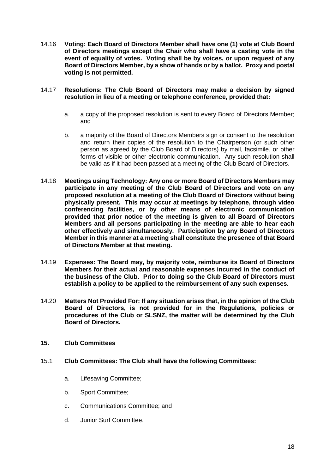14.16 **Voting: Each Board of Directors Member shall have one (1) vote at Club Board of Directors meetings except the Chair who shall have a casting vote in the event of equality of votes. Voting shall be by voices, or upon request of any Board of Directors Member, by a show of hands or by a ballot. Proxy and postal voting is not permitted.**

# 14.17 **Resolutions: The Club Board of Directors may make a decision by signed resolution in lieu of a meeting or telephone conference, provided that:**

- a. a copy of the proposed resolution is sent to every Board of Directors Member; and
- b. a majority of the Board of Directors Members sign or consent to the resolution and return their copies of the resolution to the Chairperson (or such other person as agreed by the Club Board of Directors) by mail, facsimile, or other forms of visible or other electronic communication. Any such resolution shall be valid as if it had been passed at a meeting of the Club Board of Directors.
- 14.18 **Meetings using Technology: Any one or more Board of Directors Members may participate in any meeting of the Club Board of Directors and vote on any proposed resolution at a meeting of the Club Board of Directors without being physically present. This may occur at meetings by telephone, through video conferencing facilities, or by other means of electronic communication provided that prior notice of the meeting is given to all Board of Directors Members and all persons participating in the meeting are able to hear each other effectively and simultaneously. Participation by any Board of Directors Member in this manner at a meeting shall constitute the presence of that Board of Directors Member at that meeting.**
- 14.19 **Expenses: The Board may, by majority vote, reimburse its Board of Directors Members for their actual and reasonable expenses incurred in the conduct of the business of the Club. Prior to doing so the Club Board of Directors must establish a policy to be applied to the reimbursement of any such expenses.**
- 14.20 **Matters Not Provided For: If any situation arises that, in the opinion of the Club Board of Directors, is not provided for in the Regulations, policies or procedures of the Club or SLSNZ, the matter will be determined by the Club Board of Directors.**

# <span id="page-18-0"></span>**15. Club Committees**

# 15.1 **Club Committees: The Club shall have the following Committees:**

- a. Lifesaving Committee;
- b. Sport Committee;
- c. Communications Committee; and
- d. Junior Surf Committee.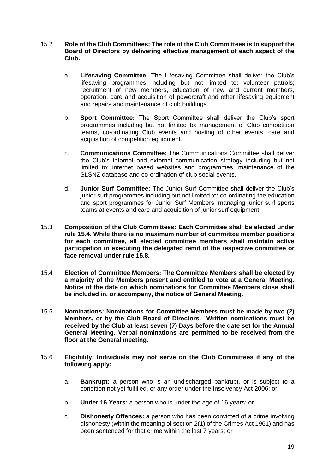- 15.2 **Role of the Club Committees: The role of the Club Committees is to support the Board of Directors by delivering effective management of each aspect of the Club.**
	- a. **Lifesaving Committee:** The Lifesaving Committee shall deliver the Club's lifesaving programmes including but not limited to: volunteer patrols; recruitment of new members, education of new and current members, operation, care and acquisition of powercraft and other lifesaving equipment and repairs and maintenance of club buildings.
	- b. **Sport Committee:** The Sport Committee shall deliver the Club's sport programmes including but not limited to: management of Club competition teams, co-ordinating Club events and hosting of other events, care and acquisition of competition equipment.
	- c. **Communications Committee:** The Communications Committee shall deliver the Club's internal and external communication strategy including but not limited to: internet based websites and programmes, maintenance of the SLSNZ database and co-ordination of club social events.
	- d. **Junior Surf Committee:** The Junior Surf Committee shall deliver the Club's junior surf programmes including but not limited to: co-ordinating the education and sport programmes for Junior Surf Members, managing junior surf sports teams at events and care and acquisition of junior surf equipment.
- <span id="page-19-0"></span>15.3 **Composition of the Club Committees: Each Committee shall be elected under rule 15.4. While there is no maximum number of committee member positions for each committee, all elected committee members shall maintain active participation in executing the delegated remit of the respective committee or face removal under rule 15.8.**
- 15.4 **Election of Committee Members: The Committee Members shall be elected by a majority of the Members present and entitled to vote at a General Meeting. Notice of the date on which nominations for Committee Members close shall be included in, or accompany, the notice of General Meeting.**
- 15.5 **Nominations: Nominations for Committee Members must be made by two (2) Members, or by the Club Board of Directors. Written nominations must be received by the Club at least seven (7) Days before the date set for the Annual General Meeting. Verbal nominations are permitted to be received from the floor at the General meeting.**
- 15.6 **Eligibility: Individuals may not serve on the Club Committees if any of the following apply:**
	- a. **Bankrupt:** a person who is an undischarged bankrupt, or is subject to a condition not yet fulfilled, or any order under the Insolvency Act 2006; or
	- b. **Under 16 Years:** a person who is under the age of 16 years; or
	- c. **Dishonesty Offences:** a person who has been convicted of a crime involving dishonesty (within the meaning of section 2(1) of the Crimes Act 1961) and has been sentenced for that crime within the last 7 years; or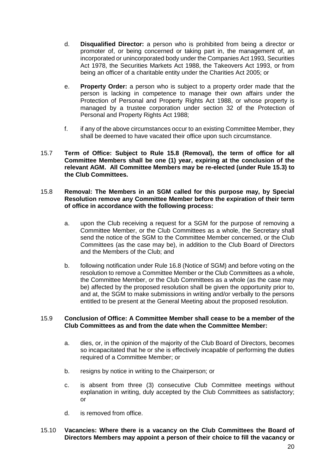- d. **Disqualified Director:** a person who is prohibited from being a director or promoter of, or being concerned or taking part in, the management of, an incorporated or unincorporated body under the Companies Act 1993, Securities Act 1978, the Securities Markets Act 1988, the Takeovers Act 1993, or from being an officer of a charitable entity under the Charities Act 2005; or
- e. **Property Order:** a person who is subject to a property order made that the person is lacking in competence to manage their own affairs under the Protection of Personal and Property Rights Act 1988, or whose property is managed by a trustee corporation under section 32 of the Protection of Personal and Property Rights Act 1988;
- f. if any of the above circumstances occur to an existing Committee Member, they shall be deemed to have vacated their office upon such circumstance.
- 15.7 **Term of Office: Subject to Rule [15.8](#page-20-0) (Removal), the term of office for all Committee Members shall be one (1) year, expiring at the conclusion of the relevant AGM. All Committee Members may be re-elected (under Rule [15.3\)](#page-19-0) to the Club Committees.**

# <span id="page-20-0"></span>15.8 **Removal: The Members in an SGM called for this purpose may, by Special Resolution remove any Committee Member before the expiration of their term of office in accordance with the following process:**

- a. upon the Club receiving a request for a SGM for the purpose of removing a Committee Member, or the Club Committees as a whole, the Secretary shall send the notice of the SGM to the Committee Member concerned, or the Club Committees (as the case may be), in addition to the Club Board of Directors and the Members of the Club; and
- b. following notification under Rule [16.8](#page-22-0) (Notice of SGM) and before voting on the resolution to remove a Committee Member or the Club Committees as a whole, the Committee Member, or the Club Committees as a whole (as the case may be) affected by the proposed resolution shall be given the opportunity prior to, and at, the SGM to make submissions in writing and/or verbally to the persons entitled to be present at the General Meeting about the proposed resolution.

# 15.9 **Conclusion of Office: A Committee Member shall cease to be a member of the Club Committees as and from the date when the Committee Member:**

- a. dies, or, in the opinion of the majority of the Club Board of Directors, becomes so incapacitated that he or she is effectively incapable of performing the duties required of a Committee Member; or
- b. resigns by notice in writing to the Chairperson: or
- c. is absent from three (3) consecutive Club Committee meetings without explanation in writing, duly accepted by the Club Committees as satisfactory; or
- d. is removed from office.

# 15.10 **Vacancies: Where there is a vacancy on the Club Committees the Board of Directors Members may appoint a person of their choice to fill the vacancy or**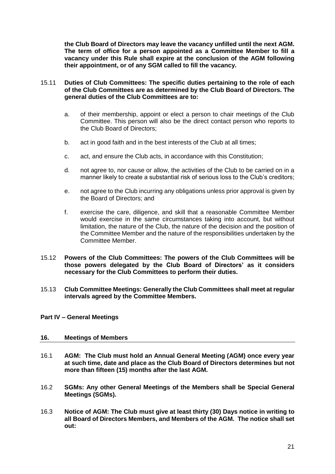**the Club Board of Directors may leave the vacancy unfilled until the next AGM. The term of office for a person appointed as a Committee Member to fill a vacancy under this Rule shall expire at the conclusion of the AGM following their appointment, or of any SGM called to fill the vacancy.**

- 15.11 **Duties of Club Committees: The specific duties pertaining to the role of each of the Club Committees are as determined by the Club Board of Directors. The general duties of the Club Committees are to:** 
	- a. of their membership, appoint or elect a person to chair meetings of the Club Committee. This person will also be the direct contact person who reports to the Club Board of Directors;
	- b. act in good faith and in the best interests of the Club at all times;
	- c. act, and ensure the Club acts, in accordance with this Constitution;
	- d. not agree to, nor cause or allow, the activities of the Club to be carried on in a manner likely to create a substantial risk of serious loss to the Club's creditors;
	- e. not agree to the Club incurring any obligations unless prior approval is given by the Board of Directors; and
	- f. exercise the care, diligence, and skill that a reasonable Committee Member would exercise in the same circumstances taking into account, but without limitation, the nature of the Club, the nature of the decision and the position of the Committee Member and the nature of the responsibilities undertaken by the Committee Member.
- 15.12 **Powers of the Club Committees: The powers of the Club Committees will be those powers delegated by the Club Board of Directors' as it considers necessary for the Club Committees to perform their duties.**
- 15.13 **Club Committee Meetings: Generally the Club Committees shall meet at regular intervals agreed by the Committee Members.**
- <span id="page-21-0"></span>**Part IV – General Meetings**

#### <span id="page-21-1"></span>**16. Meetings of Members**

- 16.1 **AGM: The Club must hold an Annual General Meeting (AGM) once every year at such time, date and place as the Club Board of Directors determines but not more than fifteen (15) months after the last AGM.**
- 16.2 **SGMs: Any other General Meetings of the Members shall be Special General Meetings (SGMs).**
- 16.3 **Notice of AGM: The Club must give at least thirty (30) Days notice in writing to all Board of Directors Members, and Members of the AGM. The notice shall set out:**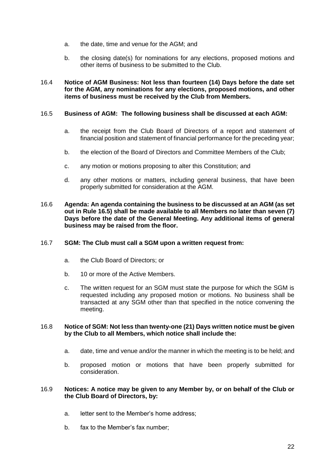- a. the date, time and venue for the AGM; and
- b. the closing date(s) for nominations for any elections, proposed motions and other items of business to be submitted to the Club.

# 16.4 **Notice of AGM Business: Not less than fourteen (14) Days before the date set for the AGM, any nominations for any elections, proposed motions, and other items of business must be received by the Club from Members.**

# <span id="page-22-1"></span>16.5 **Business of AGM: The following business shall be discussed at each AGM:**

- a. the receipt from the Club Board of Directors of a report and statement of financial position and statement of financial performance for the preceding year;
- b. the election of the Board of Directors and Committee Members of the Club;
- c. any motion or motions proposing to alter this Constitution; and
- d. any other motions or matters, including general business, that have been properly submitted for consideration at the AGM.
- 16.6 **Agenda: An agenda containing the business to be discussed at an AGM (as set out in Rule [16.5\)](#page-22-1) shall be made available to all Members no later than seven (7) Days before the date of the General Meeting. Any additional items of general business may be raised from the floor.**

# 16.7 **SGM: The Club must call a SGM upon a written request from:**

- a. the Club Board of Directors; or
- b. 10 or more of the Active Members.
- c. The written request for an SGM must state the purpose for which the SGM is requested including any proposed motion or motions. No business shall be transacted at any SGM other than that specified in the notice convening the meeting.

# <span id="page-22-0"></span>16.8 **Notice of SGM: Not less than twenty-one (21) Days written notice must be given by the Club to all Members, which notice shall include the:**

- a. date, time and venue and/or the manner in which the meeting is to be held; and
- b. proposed motion or motions that have been properly submitted for consideration.

# 16.9 **Notices: A notice may be given to any Member by, or on behalf of the Club or the Club Board of Directors, by:**

- a. letter sent to the Member's home address;
- b. fax to the Member's fax number;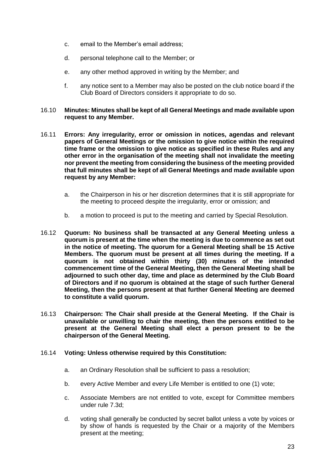- c. email to the Member's email address;
- d. personal telephone call to the Member; or
- e. any other method approved in writing by the Member; and
- f. any notice sent to a Member may also be posted on the club notice board if the Club Board of Directors considers it appropriate to do so.

# 16.10 **Minutes: Minutes shall be kept of all General Meetings and made available upon request to any Member.**

- 16.11 **Errors: Any irregularity, error or omission in notices, agendas and relevant papers of General Meetings or the omission to give notice within the required time frame or the omission to give notice as specified in these Rules and any other error in the organisation of the meeting shall not invalidate the meeting nor prevent the meeting from considering the business of the meeting provided that full minutes shall be kept of all General Meetings and made available upon request by any Member:**
	- a. the Chairperson in his or her discretion determines that it is still appropriate for the meeting to proceed despite the irregularity, error or omission; and
	- b. a motion to proceed is put to the meeting and carried by Special Resolution.
- 16.12 **Quorum: No business shall be transacted at any General Meeting unless a quorum is present at the time when the meeting is due to commence as set out in the notice of meeting. The quorum for a General Meeting shall be 15 Active Members. The quorum must be present at all times during the meeting. If a quorum is not obtained within thirty (30) minutes of the intended commencement time of the General Meeting, then the General Meeting shall be adjourned to such other day, time and place as determined by the Club Board of Directors and if no quorum is obtained at the stage of such further General Meeting, then the persons present at that further General Meeting are deemed to constitute a valid quorum.**
- 16.13 **Chairperson: The Chair shall preside at the General Meeting. If the Chair is unavailable or unwilling to chair the meeting, then the persons entitled to be present at the General Meeting shall elect a person present to be the chairperson of the General Meeting.**

# 16.14 **Voting: Unless otherwise required by this Constitution:**

- a. an Ordinary Resolution shall be sufficient to pass a resolution;
- b. every Active Member and every Life Member is entitled to one (1) vote;
- c. Associate Members are not entitled to vote, except for Committee members under rule [7.3d;](#page-9-0)
- d. voting shall generally be conducted by secret ballot unless a vote by voices or by show of hands is requested by the Chair or a majority of the Members present at the meeting;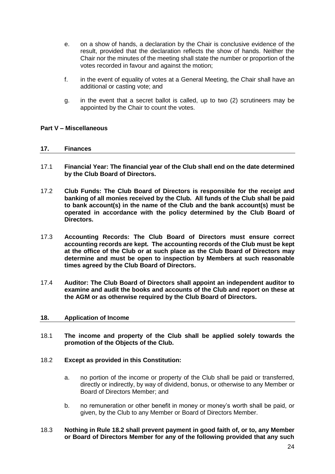- e. on a show of hands, a declaration by the Chair is conclusive evidence of the result, provided that the declaration reflects the show of hands. Neither the Chair nor the minutes of the meeting shall state the number or proportion of the votes recorded in favour and against the motion;
- f. in the event of equality of votes at a General Meeting, the Chair shall have an additional or casting vote; and
- g. in the event that a secret ballot is called, up to two (2) scrutineers may be appointed by the Chair to count the votes.

# <span id="page-24-0"></span>**Part V – Miscellaneous**

#### <span id="page-24-1"></span>**17. Finances**

- 17.1 **Financial Year: The financial year of the Club shall end on the date determined by the Club Board of Directors.**
- 17.2 **Club Funds: The Club Board of Directors is responsible for the receipt and banking of all monies received by the Club. All funds of the Club shall be paid to bank account(s) in the name of the Club and the bank account(s) must be operated in accordance with the policy determined by the Club Board of Directors.**
- 17.3 **Accounting Records: The Club Board of Directors must ensure correct accounting records are kept. The accounting records of the Club must be kept at the office of the Club or at such place as the Club Board of Directors may determine and must be open to inspection by Members at such reasonable times agreed by the Club Board of Directors.**
- 17.4 **Auditor: The Club Board of Directors shall appoint an independent auditor to examine and audit the books and accounts of the Club and report on these at the AGM or as otherwise required by the Club Board of Directors.**

#### <span id="page-24-2"></span>**18. Application of Income**

18.1 **The income and property of the Club shall be applied solely towards the promotion of the Objects of the Club.**

# <span id="page-24-3"></span>18.2 **Except as provided in this Constitution:**

- a. no portion of the income or property of the Club shall be paid or transferred, directly or indirectly, by way of dividend, bonus, or otherwise to any Member or Board of Directors Member; and
- b. no remuneration or other benefit in money or money's worth shall be paid, or given, by the Club to any Member or Board of Directors Member.

# 18.3 **Nothing in Rule [18.2](#page-24-3) shall prevent payment in good faith of, or to, any Member or Board of Directors Member for any of the following provided that any such**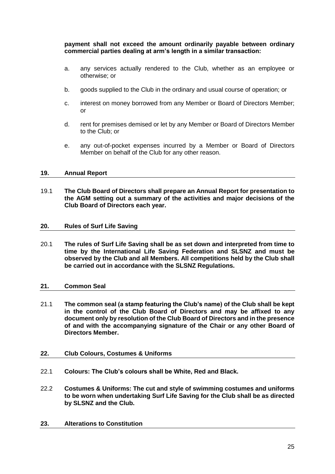**payment shall not exceed the amount ordinarily payable between ordinary commercial parties dealing at arm's length in a similar transaction:**

- a. any services actually rendered to the Club, whether as an employee or otherwise; or
- b. goods supplied to the Club in the ordinary and usual course of operation; or
- c. interest on money borrowed from any Member or Board of Directors Member; or
- d. rent for premises demised or let by any Member or Board of Directors Member to the Club; or
- e. any out-of-pocket expenses incurred by a Member or Board of Directors Member on behalf of the Club for any other reason.

# <span id="page-25-0"></span>**19. Annual Report**

19.1 **The Club Board of Directors shall prepare an Annual Report for presentation to the AGM setting out a summary of the activities and major decisions of the Club Board of Directors each year.**

#### <span id="page-25-1"></span>**20. Rules of Surf Life Saving**

20.1 **The rules of Surf Life Saving shall be as set down and interpreted from time to time by the International Life Saving Federation and SLSNZ and must be observed by the Club and all Members. All competitions held by the Club shall be carried out in accordance with the SLSNZ Regulations.**

#### <span id="page-25-2"></span>**21. Common Seal**

21.1 **The common seal (a stamp featuring the Club's name) of the Club shall be kept in the control of the Club Board of Directors and may be affixed to any document only by resolution of the Club Board of Directors and in the presence of and with the accompanying signature of the Chair or any other Board of Directors Member.**

#### <span id="page-25-3"></span>**22. Club Colours, Costumes & Uniforms**

- 22.1 **Colours: The Club's colours shall be White, Red and Black.**
- 22.2 **Costumes & Uniforms: The cut and style of swimming costumes and uniforms to be worn when undertaking Surf Life Saving for the Club shall be as directed by SLSNZ and the Club.**

#### <span id="page-25-4"></span>**23. Alterations to Constitution**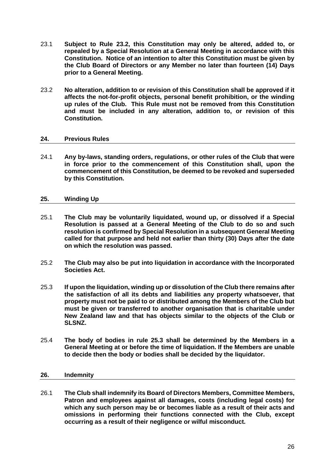- 23.1 **Subject to Rule [23.2,](#page-26-3) this Constitution may only be altered, added to, or repealed by a Special Resolution at a General Meeting in accordance with this Constitution. Notice of an intention to alter this Constitution must be given by the Club Board of Directors or any Member no later than fourteen (14) Days prior to a General Meeting.**
- <span id="page-26-3"></span>23.2 **No alteration, addition to or revision of this Constitution shall be approved if it affects the not-for-profit objects, personal benefit prohibition, or the winding up rules of the Club. This Rule must not be removed from this Constitution and must be included in any alteration, addition to, or revision of this Constitution.**

# <span id="page-26-0"></span>**24. Previous Rules**

24.1 **Any by-laws, standing orders, regulations, or other rules of the Club that were in force prior to the commencement of this Constitution shall, upon the commencement of this Constitution, be deemed to be revoked and superseded by this Constitution.** 

# <span id="page-26-1"></span>**25. Winding Up**

- 25.1 **The Club may be voluntarily liquidated, wound up, or dissolved if a Special Resolution is passed at a General Meeting of the Club to do so and such resolution is confirmed by Special Resolution in a subsequent General Meeting called for that purpose and held not earlier than thirty (30) Days after the date on which the resolution was passed.**
- 25.2 **The Club may also be put into liquidation in accordance with the Incorporated Societies Act.**
- 25.3 **If upon the liquidation, winding up or dissolution of the Club there remains after the satisfaction of all its debts and liabilities any property whatsoever, that property must not be paid to or distributed among the Members of the Club but must be given or transferred to another organisation that is charitable under New Zealand law and that has objects similar to the objects of the Club or SLSNZ.**
- 25.4 **The body of bodies in rule 25.3 shall be determined by the Members in a General Meeting at or before the time of liquidation. If the Members are unable to decide then the body or bodies shall be decided by the liquidator.**

# <span id="page-26-2"></span>**26. Indemnity**

26.1 **The Club shall indemnify its Board of Directors Members, Committee Members, Patron and employees against all damages, costs (including legal costs) for which any such person may be or becomes liable as a result of their acts and omissions in performing their functions connected with the Club, except occurring as a result of their negligence or wilful misconduct.**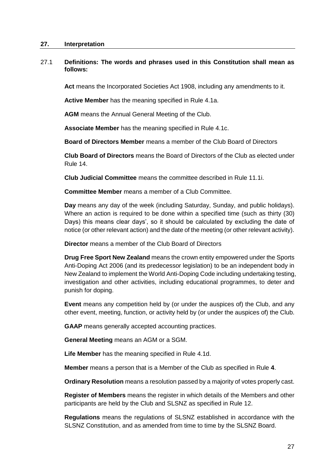#### <span id="page-27-0"></span>**27. Interpretation**

# 27.1 **Definitions: The words and phrases used in this Constitution shall mean as follows:**

**Act** means the Incorporated Societies Act 1908, including any amendments to it.

**Active Member** has the meaning specified in Rule [4.1a.](#page-7-2)

**AGM** means the Annual General Meeting of the Club.

**Associate Member** has the meaning specified in Rule [4.1c.](#page-7-3)

**Board of Directors Member** means a member of the Club Board of Directors

**Club Board of Directors** means the Board of Directors of the Club as elected under Rule [14.](#page-13-3)

**Club Judicial Committee** means the committee described in Rule [11.1i](#page-12-4).

**Committee Member** means a member of a Club Committee.

**Day** means any day of the week (including Saturday, Sunday, and public holidays). Where an action is required to be done within a specified time (such as thirty (30) Days) this means clear days', so it should be calculated by excluding the date of notice (or other relevant action) and the date of the meeting (or other relevant activity).

**Director** means a member of the Club Board of Directors

**Drug Free Sport New Zealand** means the crown entity empowered under the Sports Anti-Doping Act 2006 (and its predecessor legislation) to be an independent body in New Zealand to implement the World Anti-Doping Code including undertaking testing, investigation and other activities, including educational programmes, to deter and punish for doping.

**Event** means any competition held by (or under the auspices of) the Club, and any other event, meeting, function, or activity held by (or under the auspices of) the Club.

**GAAP** means generally accepted accounting practices.

**General Meeting** means an AGM or a SGM.

**Life Member** has the meaning specified in Rule [4.1d](#page-6-2).

**Member** means a person that is a Member of the Club as specified in Rule **[4](#page-6-1)**.

**Ordinary Resolution** means a resolution passed by a majority of votes properly cast.

**Register of Members** means the register in which details of the Members and other participants are held by the Club and SLSNZ as specified in Rule [12.](#page-13-0)

**Regulations** means the regulations of SLSNZ established in accordance with the SLSNZ Constitution, and as amended from time to time by the SLSNZ Board.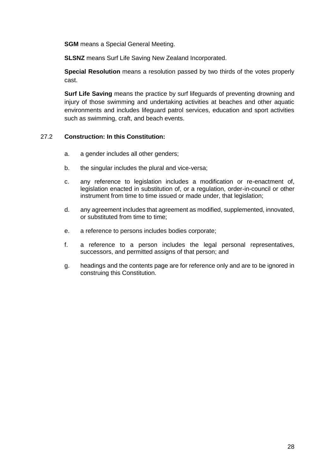**SGM** means a Special General Meeting.

**SLSNZ** means Surf Life Saving New Zealand Incorporated.

**Special Resolution** means a resolution passed by two thirds of the votes properly cast.

**Surf Life Saving** means the practice by surf lifeguards of preventing drowning and injury of those swimming and undertaking activities at beaches and other aquatic environments and includes lifeguard patrol services, education and sport activities such as swimming, craft, and beach events.

# 27.2 **Construction: In this Constitution:**

- a. a gender includes all other genders;
- b. the singular includes the plural and vice-versa;
- c. any reference to legislation includes a modification or re-enactment of, legislation enacted in substitution of, or a regulation, order-in-council or other instrument from time to time issued or made under, that legislation;
- d. any agreement includes that agreement as modified, supplemented, innovated, or substituted from time to time;
- e. a reference to persons includes bodies corporate;
- f. a reference to a person includes the legal personal representatives, successors, and permitted assigns of that person; and
- g. headings and the contents page are for reference only and are to be ignored in construing this Constitution.